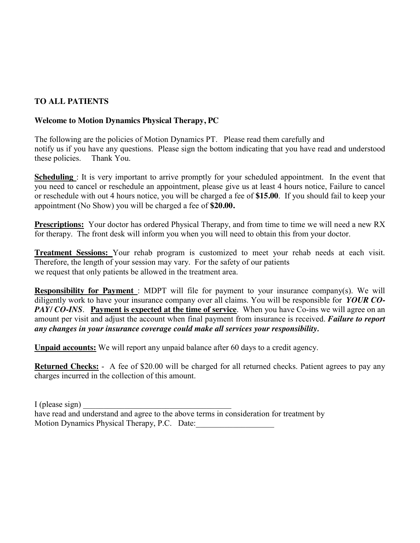## **TO ALL PATIENTS**

### **Welcome to Motion Dynamics Physical Therapy, PC**

The following are the policies of Motion Dynamics PT. Please read them carefully and notify us if you have any questions. Please sign the bottom indicating that you have read and understood these policies. Thank You.

**Scheduling**: It is very important to arrive promptly for your scheduled appointment. In the event that you need to cancel or reschedule an appointment, please give us at least 4 hours notice, Failure to cancel or reschedule with out 4 hours notice, you will be charged a fee of **\$15.00**. If you should fail to keep your appointment (No Show) you will be charged a fee of **\$20.00.**

**Prescriptions:** Your doctor has ordered Physical Therapy, and from time to time we will need a new RX for therapy. The front desk will inform you when you will need to obtain this from your doctor.

**Treatment Sessions:** Your rehab program is customized to meet your rehab needs at each visit. Therefore, the length of your session may vary. For the safety of our patients we request that only patients be allowed in the treatment area.

**Responsibility for Payment** : MDPT will file for payment to your insurance company(s). We will diligently work to have your insurance company over all claims. You will be responsible for *YOUR CO-PAY/ CO-INS*. Payment is expected at the time of service. When you have Co-ins we will agree on an amount per visit and adjust the account when final payment from insurance is received. *Failure to report any changes in your insurance coverage could make all services your responsibility.* 

**Unpaid accounts:** We will report any unpaid balance after 60 days to a credit agency.

**Returned Checks:** - A fee of \$20.00 will be charged for all returned checks. Patient agrees to pay any charges incurred in the collection of this amount.

 $I$  (please sign) have read and understand and agree to the above terms in consideration for treatment by Motion Dynamics Physical Therapy, P.C. Date: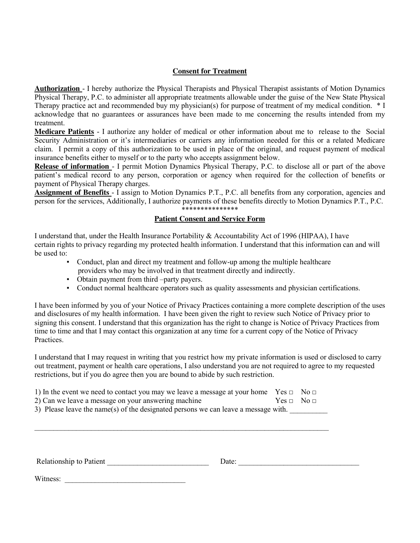#### **Consent for Treatment**

**Authorization** - I hereby authorize the Physical Therapists and Physical Therapist assistants of Motion Dynamics Physical Therapy, P.C. to administer all appropriate treatments allowable under the guise of the New State Physical Therapy practice act and recommended buy my physician(s) for purpose of treatment of my medical condition. \* I acknowledge that no guarantees or assurances have been made to me concerning the results intended from my treatment.

**Medicare Patients** - I authorize any holder of medical or other information about me to release to the Social Security Administration or it's intermediaries or carriers any information needed for this or a related Medicare claim. I permit a copy of this authorization to be used in place of the original, and request payment of medical insurance benefits either to myself or to the party who accepts assignment below.

**Release of information** - I permit Motion Dynamics Physical Therapy, P.C. to disclose all or part of the above patient's medical record to any person, corporation or agency when required for the collection of benefits or payment of Physical Therapy charges.

**Assignment of Benefits** - I assign to Motion Dynamics P.T., P.C. all benefits from any corporation, agencies and person for the services, Additionally, I authorize payments of these benefits directly to Motion Dynamics P.T., P.C. \*\*\*\*\*\*\*\*\*\*\*\*\*\*\*

#### **Patient Consent and Service Form**

I understand that, under the Health Insurance Portability & Accountability Act of 1996 (HIPAA), I have certain rights to privacy regarding my protected health information. I understand that this information can and will be used to:

- Conduct, plan and direct my treatment and follow-up among the multiple healthcare providers who may be involved in that treatment directly and indirectly.
- Obtain payment from third –party payers.
- Conduct normal healthcare operators such as quality assessments and physician certifications.

I have been informed by you of your Notice of Privacy Practices containing a more complete description of the uses and disclosures of my health information. I have been given the right to review such Notice of Privacy prior to signing this consent. I understand that this organization has the right to change is Notice of Privacy Practices from time to time and that I may contact this organization at any time for a current copy of the Notice of Privacy Practices.

I understand that I may request in writing that you restrict how my private information is used or disclosed to carry out treatment, payment or health care operations, I also understand you are not required to agree to my requested restrictions, but if you do agree then you are bound to abide by such restriction.

| 1) In the event we need to contact you may we leave a message at your home Yes $\Box$ No $\Box$ |                    |  |  |  |  |
|-------------------------------------------------------------------------------------------------|--------------------|--|--|--|--|
| 2) Can we leave a message on your answering machine                                             | $Yes \Box No \Box$ |  |  |  |  |
| 3) Please leave the name(s) of the designated persons we can leave a message with.              |                    |  |  |  |  |
|                                                                                                 |                    |  |  |  |  |
|                                                                                                 |                    |  |  |  |  |
|                                                                                                 |                    |  |  |  |  |
|                                                                                                 |                    |  |  |  |  |

| Relationship to Patient | . )ate |  |
|-------------------------|--------|--|
|                         |        |  |

Witness: